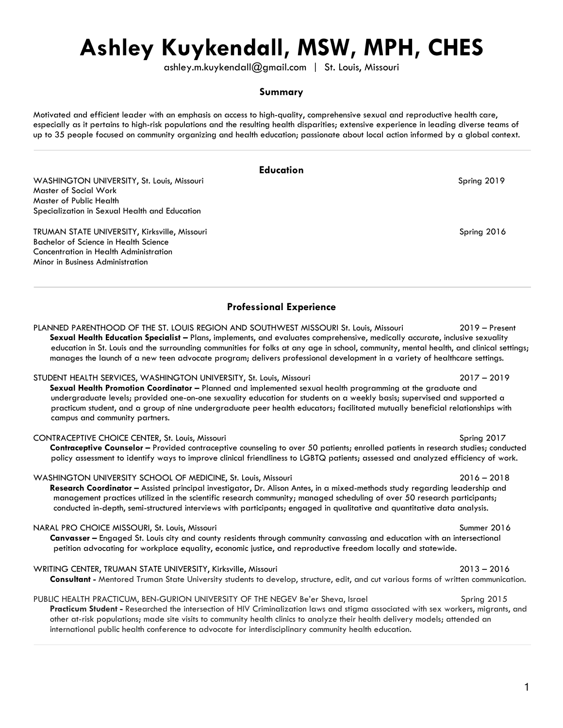# **Ashley Kuykendall, MSW, MPH, CHES**

ashley.m.kuykendall@gmail.com | St. Louis, Missouri

# **Summary**

Motivated and efficient leader with an emphasis on access to high-quality, comprehensive sexual and reproductive health care, especially as it pertains to high-risk populations and the resulting health disparities; extensive experience in leading diverse teams of up to 35 people focused on community organizing and health education; passionate about local action informed by a global context.

# **Education**

WASHINGTON UNIVERSITY, St. Louis, Missouri Spring 2019 Master of Social Work Master of Public Health Specialization in Sexual Health and Education

TRUMAN STATE UNIVERSITY, Kirksville, Missouri Spring 2016 November 2016 Spring 2016 Bachelor of Science in Health Science Concentration in Health Administration Minor in Business Administration

campus and community partners.

# **Professional Experience**

PLANNED PARENTHOOD OF THE ST. LOUIS REGION AND SOUTHWEST MISSOURI St. Louis, Missouri 2019 – Present **Sexual Health Education Specialist –** Plans, implements, and evaluates comprehensive, medically accurate, inclusive sexuality education in St. Louis and the surrounding communities for folks at any age in school, community, mental health, and clinical settings; manages the launch of a new teen advocate program; delivers professional development in a variety of healthcare settings.

STUDENT HEALTH SERVICES, WASHINGTON UNIVERSITY, St. Louis, Missouri 2017 – 2019 **Sexual Health Promotion Coordinator –** Planned and implemented sexual health programming at the graduate and undergraduate levels; provided one-on-one sexuality education for students on a weekly basis; supervised and supported a practicum student, and a group of nine undergraduate peer health educators; facilitated mutually beneficial relationships with

CONTRACEPTIVE CHOICE CENTER, St. Louis, Missouri Spring 2017 **Contraceptive Counselor** *–* Provided contraceptive counseling to over 50 patients; enrolled patients in research studies; conducted policy assessment to identify ways to improve clinical friendliness to LGBTQ patients; assessed and analyzed efficiency of work.

WASHINGTON UNIVERSITY SCHOOL OF MEDICINE, St. Louis, Missouri 2016 – 2018 **Research Coordinator –** Assisted principal investigator, Dr. Alison Antes, in a mixed-methods study regarding leadership and management practices utilized in the scientific research community; managed scheduling of over 50 research participants; conducted in-depth, semi-structured interviews with participants; engaged in qualitative and quantitative data analysis.

NARAL PRO CHOICE MISSOURI, St. Louis, Missouri Summer 2016 **Canvasser –** Engaged St. Louis city and county residents through community canvassing and education with an intersectional petition advocating for workplace equality, economic justice, and reproductive freedom locally and statewide.

WRITING CENTER, TRUMAN STATE UNIVERSITY, Kirksville, Missouri 2013 – 2016 **Consultant** *-* Mentored Truman State University students to develop, structure, edit, and cut various forms of written communication.

### PUBLIC HEALTH PRACTICUM, BEN-GURION UNIVERSITY OF THE NEGEV Be'er Sheva, Israel Spring 2015

**Practicum Student -** Researched the intersection of HIV Criminalization laws and stigma associated with sex workers, migrants, and other at-risk populations; made site visits to community health clinics to analyze their health delivery models; attended an international public health conference to advocate for interdisciplinary community health education.